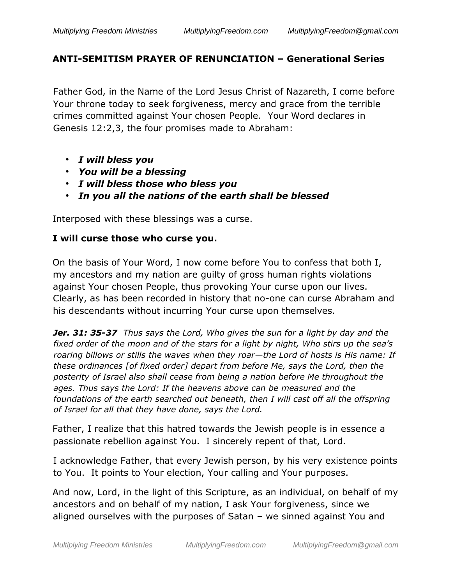## **ANTI-SEMITISM PRAYER OF RENUNCIATION – Generational Series**

Father God, in the Name of the Lord Jesus Christ of Nazareth, I come before Your throne today to seek forgiveness, mercy and grace from the terrible crimes committed against Your chosen People. Your Word declares in Genesis 12:2,3, the four promises made to Abraham:

- *I will bless you*
- *You will be a blessing*
- *I will bless those who bless you*
- *In you all the nations of the earth shall be blessed*

Interposed with these blessings was a curse.

## **I will curse those who curse you.**

On the basis of Your Word, I now come before You to confess that both I, my ancestors and my nation are guilty of gross human rights violations against Your chosen People, thus provoking Your curse upon our lives. Clearly, as has been recorded in history that no-one can curse Abraham and his descendants without incurring Your curse upon themselves.

*Jer. 31: 35-37 Thus says the Lord, Who gives the sun for a light by day and the fixed order of the moon and of the stars for a light by night, Who stirs up the sea's roaring billows or stills the waves when they roar—the Lord of hosts is His name: If these ordinances [of fixed order] depart from before Me, says the Lord, then the posterity of Israel also shall cease from being a nation before Me throughout the ages. Thus says the Lord: If the heavens above can be measured and the foundations of the earth searched out beneath, then I will cast off all the offspring of Israel for all that they have done, says the Lord.*

Father, I realize that this hatred towards the Jewish people is in essence a passionate rebellion against You. I sincerely repent of that, Lord.

I acknowledge Father, that every Jewish person, by his very existence points to You. It points to Your election, Your calling and Your purposes.

And now, Lord, in the light of this Scripture, as an individual, on behalf of my ancestors and on behalf of my nation, I ask Your forgiveness, since we aligned ourselves with the purposes of Satan – we sinned against You and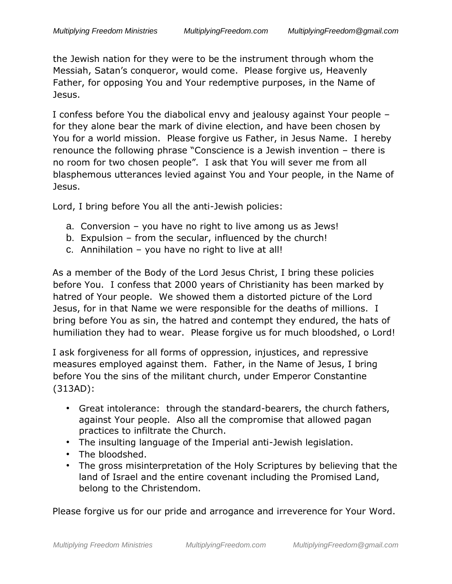the Jewish nation for they were to be the instrument through whom the Messiah, Satan's conqueror, would come. Please forgive us, Heavenly Father, for opposing You and Your redemptive purposes, in the Name of Jesus.

I confess before You the diabolical envy and jealousy against Your people – for they alone bear the mark of divine election, and have been chosen by You for a world mission. Please forgive us Father, in Jesus Name. I hereby renounce the following phrase "Conscience is a Jewish invention – there is no room for two chosen people". I ask that You will sever me from all blasphemous utterances levied against You and Your people, in the Name of Jesus.

Lord, I bring before You all the anti-Jewish policies:

- a. Conversion you have no right to live among us as Jews!
- b. Expulsion from the secular, influenced by the church!
- c. Annihilation you have no right to live at all!

As a member of the Body of the Lord Jesus Christ, I bring these policies before You. I confess that 2000 years of Christianity has been marked by hatred of Your people. We showed them a distorted picture of the Lord Jesus, for in that Name we were responsible for the deaths of millions. I bring before You as sin, the hatred and contempt they endured, the hats of humiliation they had to wear. Please forgive us for much bloodshed, o Lord!

I ask forgiveness for all forms of oppression, injustices, and repressive measures employed against them. Father, in the Name of Jesus, I bring before You the sins of the militant church, under Emperor Constantine (313AD):

- Great intolerance: through the standard-bearers, the church fathers, against Your people. Also all the compromise that allowed pagan practices to infiltrate the Church.
- The insulting language of the Imperial anti-Jewish legislation.
- The bloodshed.
- The gross misinterpretation of the Holy Scriptures by believing that the land of Israel and the entire covenant including the Promised Land, belong to the Christendom.

Please forgive us for our pride and arrogance and irreverence for Your Word.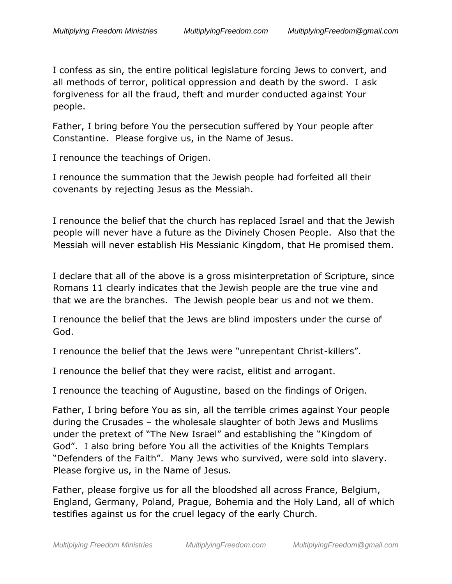I confess as sin, the entire political legislature forcing Jews to convert, and all methods of terror, political oppression and death by the sword. I ask forgiveness for all the fraud, theft and murder conducted against Your people.

Father, I bring before You the persecution suffered by Your people after Constantine. Please forgive us, in the Name of Jesus.

I renounce the teachings of Origen.

I renounce the summation that the Jewish people had forfeited all their covenants by rejecting Jesus as the Messiah.

I renounce the belief that the church has replaced Israel and that the Jewish people will never have a future as the Divinely Chosen People. Also that the Messiah will never establish His Messianic Kingdom, that He promised them.

I declare that all of the above is a gross misinterpretation of Scripture, since Romans 11 clearly indicates that the Jewish people are the true vine and that we are the branches. The Jewish people bear us and not we them.

I renounce the belief that the Jews are blind imposters under the curse of God.

I renounce the belief that the Jews were "unrepentant Christ-killers".

I renounce the belief that they were racist, elitist and arrogant.

I renounce the teaching of Augustine, based on the findings of Origen.

Father, I bring before You as sin, all the terrible crimes against Your people during the Crusades – the wholesale slaughter of both Jews and Muslims under the pretext of "The New Israel" and establishing the "Kingdom of God". I also bring before You all the activities of the Knights Templars "Defenders of the Faith". Many Jews who survived, were sold into slavery. Please forgive us, in the Name of Jesus.

Father, please forgive us for all the bloodshed all across France, Belgium, England, Germany, Poland, Prague, Bohemia and the Holy Land, all of which testifies against us for the cruel legacy of the early Church.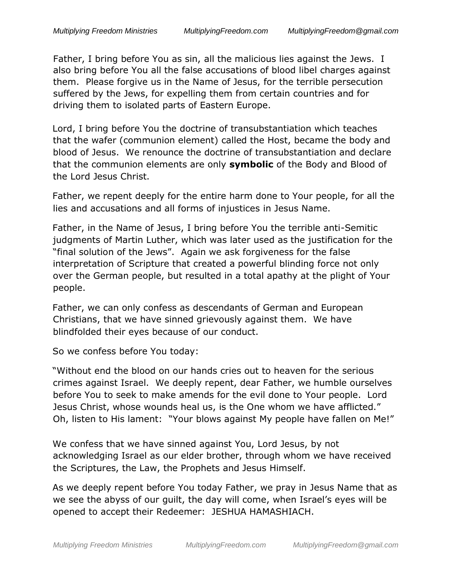Father, I bring before You as sin, all the malicious lies against the Jews. I also bring before You all the false accusations of blood libel charges against them. Please forgive us in the Name of Jesus, for the terrible persecution suffered by the Jews, for expelling them from certain countries and for driving them to isolated parts of Eastern Europe.

Lord, I bring before You the doctrine of transubstantiation which teaches that the wafer (communion element) called the Host, became the body and blood of Jesus. We renounce the doctrine of transubstantiation and declare that the communion elements are only **symbolic** of the Body and Blood of the Lord Jesus Christ.

Father, we repent deeply for the entire harm done to Your people, for all the lies and accusations and all forms of injustices in Jesus Name.

Father, in the Name of Jesus, I bring before You the terrible anti-Semitic judgments of Martin Luther, which was later used as the justification for the "final solution of the Jews". Again we ask forgiveness for the false interpretation of Scripture that created a powerful blinding force not only over the German people, but resulted in a total apathy at the plight of Your people.

Father, we can only confess as descendants of German and European Christians, that we have sinned grievously against them. We have blindfolded their eyes because of our conduct.

So we confess before You today:

"Without end the blood on our hands cries out to heaven for the serious crimes against Israel. We deeply repent, dear Father, we humble ourselves before You to seek to make amends for the evil done to Your people. Lord Jesus Christ, whose wounds heal us, is the One whom we have afflicted." Oh, listen to His lament: "Your blows against My people have fallen on Me!"

We confess that we have sinned against You, Lord Jesus, by not acknowledging Israel as our elder brother, through whom we have received the Scriptures, the Law, the Prophets and Jesus Himself.

As we deeply repent before You today Father, we pray in Jesus Name that as we see the abyss of our guilt, the day will come, when Israel's eyes will be opened to accept their Redeemer: JESHUA HAMASHIACH.